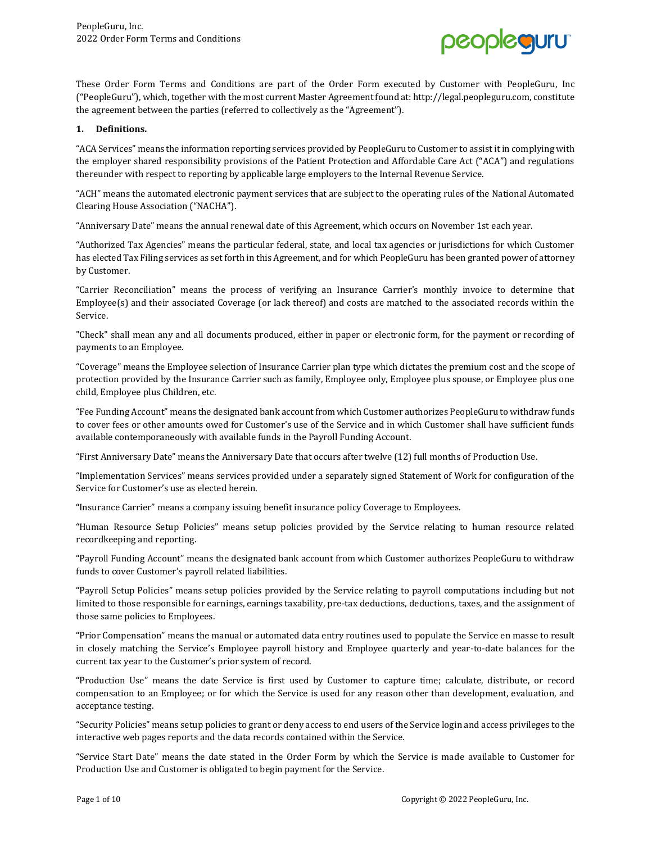

These Order Form Terms and Conditions are part of the Order Form executed by Customer with PeopleGuru, Inc ("PeopleGuru"), which, together with the most current Master Agreement found at: http://legal.peopleguru.com, constitute the agreement between the parties (referred to collectively as the "Agreement").

#### **1. Definitions.**

"ACA Services" means the information reporting services provided by PeopleGuru to Customer to assist it in complying with the employer shared responsibility provisions of the Patient Protection and Affordable Care Act ("ACA") and regulations thereunder with respect to reporting by applicable large employers to the Internal Revenue Service.

"ACH" means the automated electronic payment services that are subject to the operating rules of the National Automated Clearing House Association ("NACHA").

"Anniversary Date" means the annual renewal date of this Agreement, which occurs on November 1st each year.

"Authorized Tax Agencies" means the particular federal, state, and local tax agencies or jurisdictions for which Customer has elected Tax Filing services as set forth in this Agreement, and for which PeopleGuru has been granted power of attorney by Customer.

"Carrier Reconciliation" means the process of verifying an Insurance Carrier's monthly invoice to determine that Employee(s) and their associated Coverage (or lack thereof) and costs are matched to the associated records within the Service.

"Check" shall mean any and all documents produced, either in paper or electronic form, for the payment or recording of payments to an Employee.

"Coverage" means the Employee selection of Insurance Carrier plan type which dictates the premium cost and the scope of protection provided by the Insurance Carrier such as family, Employee only, Employee plus spouse, or Employee plus one child, Employee plus Children, etc.

"Fee Funding Account" means the designated bank account from which Customer authorizes PeopleGuru to withdraw funds to cover fees or other amounts owed for Customer's use of the Service and in which Customer shall have sufficient funds available contemporaneously with available funds in the Payroll Funding Account.

"First Anniversary Date" means the Anniversary Date that occurs after twelve (12) full months of Production Use.

"Implementation Services" means services provided under a separately signed Statement of Work for configuration of the Service for Customer's use as elected herein.

"Insurance Carrier" means a company issuing benefit insurance policy Coverage to Employees.

"Human Resource Setup Policies" means setup policies provided by the Service relating to human resource related recordkeeping and reporting.

"Payroll Funding Account" means the designated bank account from which Customer authorizes PeopleGuru to withdraw funds to cover Customer's payroll related liabilities.

"Payroll Setup Policies" means setup policies provided by the Service relating to payroll computations including but not limited to those responsible for earnings, earnings taxability, pre-tax deductions, deductions, taxes, and the assignment of those same policies to Employees.

"Prior Compensation" means the manual or automated data entry routines used to populate the Service en masse to result in closely matching the Service's Employee payroll history and Employee quarterly and year-to-date balances for the current tax year to the Customer's prior system of record.

"Production Use" means the date Service is first used by Customer to capture time; calculate, distribute, or record compensation to an Employee; or for which the Service is used for any reason other than development, evaluation, and acceptance testing.

"Security Policies" means setup policies to grant or deny access to end users of the Service login and access privileges to the interactive web pages reports and the data records contained within the Service.

"Service Start Date" means the date stated in the Order Form by which the Service is made available to Customer for Production Use and Customer is obligated to begin payment for the Service.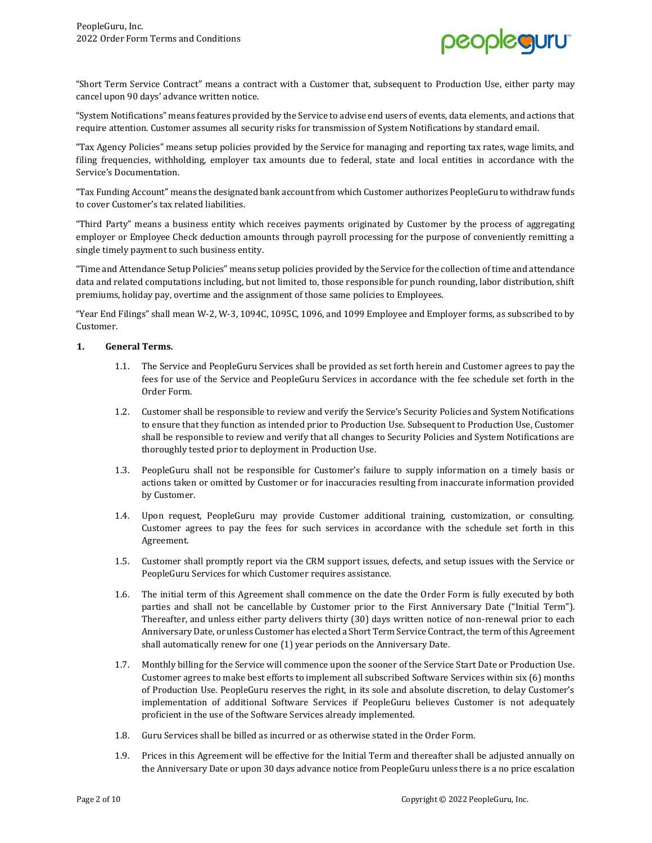

"Short Term Service Contract" means a contract with a Customer that, subsequent to Production Use, either party may cancel upon 90 days' advance written notice.

"System Notifications" means features provided by the Service to advise end users of events, data elements, and actions that require attention. Customer assumes all security risks for transmission of System Notifications by standard email.

"Tax Agency Policies" means setup policies provided by the Service for managing and reporting tax rates, wage limits, and filing frequencies, withholding, employer tax amounts due to federal, state and local entities in accordance with the Service's Documentation.

"Tax Funding Account" means the designated bank account from which Customer authorizes PeopleGuru to withdraw funds to cover Customer's tax related liabilities.

"Third Party" means a business entity which receives payments originated by Customer by the process of aggregating employer or Employee Check deduction amounts through payroll processing for the purpose of conveniently remitting a single timely payment to such business entity.

"Time and Attendance Setup Policies" means setup policies provided by the Service for the collection of time and attendance data and related computations including, but not limited to, those responsible for punch rounding, labor distribution, shift premiums, holiday pay, overtime and the assignment of those same policies to Employees.

"Year End Filings" shall mean W-2, W-3, 1094C, 1095C, 1096, and 1099 Employee and Employer forms, as subscribed to by Customer.

# **1. General Terms.**

- 1.1. The Service and PeopleGuru Services shall be provided as set forth herein and Customer agrees to pay the fees for use of the Service and PeopleGuru Services in accordance with the fee schedule set forth in the Order Form.
- 1.2. Customer shall be responsible to review and verify the Service's Security Policies and System Notifications to ensure that they function as intended prior to Production Use. Subsequent to Production Use, Customer shall be responsible to review and verify that all changes to Security Policies and System Notifications are thoroughly tested prior to deployment in Production Use.
- 1.3. PeopleGuru shall not be responsible for Customer's failure to supply information on a timely basis or actions taken or omitted by Customer or for inaccuracies resulting from inaccurate information provided by Customer.
- 1.4. Upon request, PeopleGuru may provide Customer additional training, customization, or consulting. Customer agrees to pay the fees for such services in accordance with the schedule set forth in this Agreement.
- 1.5. Customer shall promptly report via the CRM support issues, defects, and setup issues with the Service or PeopleGuru Services for which Customer requires assistance.
- 1.6. The initial term of this Agreement shall commence on the date the Order Form is fully executed by both parties and shall not be cancellable by Customer prior to the First Anniversary Date ("Initial Term"). Thereafter, and unless either party delivers thirty (30) days written notice of non-renewal prior to each Anniversary Date, or unless Customer has elected a Short Term Service Contract, the term of this Agreement shall automatically renew for one (1) year periods on the Anniversary Date.
- 1.7. Monthly billing for the Service will commence upon the sooner of the Service Start Date or Production Use. Customer agrees to make best efforts to implement all subscribed Software Services within six (6) months of Production Use. PeopleGuru reserves the right, in its sole and absolute discretion, to delay Customer's implementation of additional Software Services if PeopleGuru believes Customer is not adequately proficient in the use of the Software Services already implemented.
- 1.8. Guru Services shall be billed as incurred or as otherwise stated in the Order Form.
- 1.9. Prices in this Agreement will be effective for the Initial Term and thereafter shall be adjusted annually on the Anniversary Date or upon 30 days advance notice from PeopleGuru unless there is a no price escalation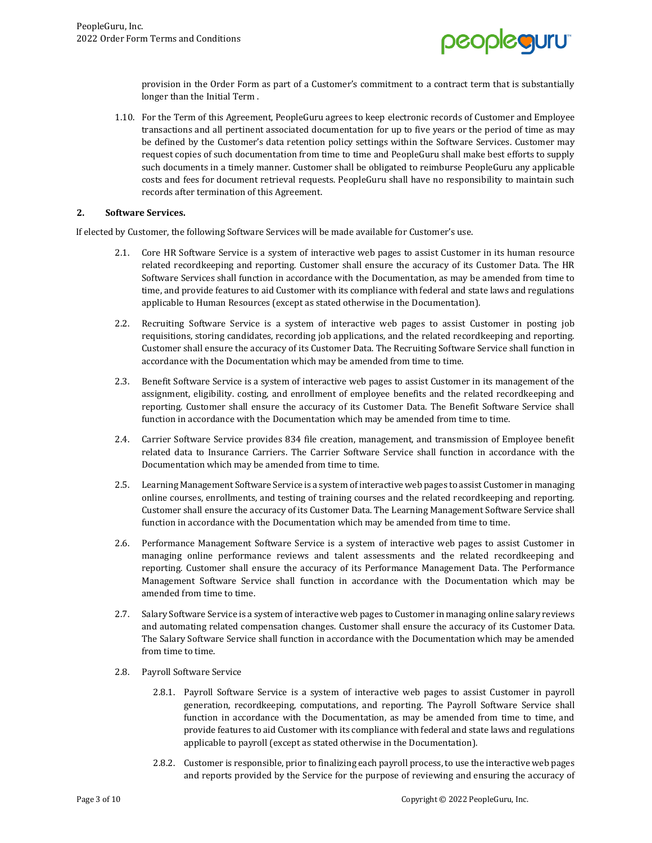

provision in the Order Form as part of a Customer's commitment to a contract term that is substantially longer than the Initial Term .

1.10. For the Term of this Agreement, PeopleGuru agrees to keep electronic records of Customer and Employee transactions and all pertinent associated documentation for up to five years or the period of time as may be defined by the Customer's data retention policy settings within the Software Services. Customer may request copies of such documentation from time to time and PeopleGuru shall make best efforts to supply such documents in a timely manner. Customer shall be obligated to reimburse PeopleGuru any applicable costs and fees for document retrieval requests. PeopleGuru shall have no responsibility to maintain such records after termination of this Agreement.

### **2. Software Services.**

If elected by Customer, the following Software Services will be made available for Customer's use.

- 2.1. Core HR Software Service is a system of interactive web pages to assist Customer in its human resource related recordkeeping and reporting. Customer shall ensure the accuracy of its Customer Data. The HR Software Services shall function in accordance with the Documentation, as may be amended from time to time, and provide features to aid Customer with its compliance with federal and state laws and regulations applicable to Human Resources (except as stated otherwise in the Documentation).
- 2.2. Recruiting Software Service is a system of interactive web pages to assist Customer in posting job requisitions, storing candidates, recording job applications, and the related recordkeeping and reporting. Customer shall ensure the accuracy of its Customer Data. The Recruiting Software Service shall function in accordance with the Documentation which may be amended from time to time.
- 2.3. Benefit Software Service is a system of interactive web pages to assist Customer in its management of the assignment, eligibility. costing, and enrollment of employee benefits and the related recordkeeping and reporting. Customer shall ensure the accuracy of its Customer Data. The Benefit Software Service shall function in accordance with the Documentation which may be amended from time to time.
- 2.4. Carrier Software Service provides 834 file creation, management, and transmission of Employee benefit related data to Insurance Carriers. The Carrier Software Service shall function in accordance with the Documentation which may be amended from time to time.
- 2.5. Learning Management Software Service is a system of interactive web pages to assist Customer in managing online courses, enrollments, and testing of training courses and the related recordkeeping and reporting. Customer shall ensure the accuracy of its Customer Data. The Learning Management Software Service shall function in accordance with the Documentation which may be amended from time to time.
- 2.6. Performance Management Software Service is a system of interactive web pages to assist Customer in managing online performance reviews and talent assessments and the related recordkeeping and reporting. Customer shall ensure the accuracy of its Performance Management Data. The Performance Management Software Service shall function in accordance with the Documentation which may be amended from time to time.
- 2.7. Salary Software Service is a system of interactive web pages to Customer in managing online salary reviews and automating related compensation changes. Customer shall ensure the accuracy of its Customer Data. The Salary Software Service shall function in accordance with the Documentation which may be amended from time to time.
- 2.8. Payroll Software Service
	- 2.8.1. Payroll Software Service is a system of interactive web pages to assist Customer in payroll generation, recordkeeping, computations, and reporting. The Payroll Software Service shall function in accordance with the Documentation, as may be amended from time to time, and provide features to aid Customer with its compliance with federal and state laws and regulations applicable to payroll (except as stated otherwise in the Documentation).
	- 2.8.2. Customer is responsible, prior to finalizing each payroll process, to use the interactive web pages and reports provided by the Service for the purpose of reviewing and ensuring the accuracy of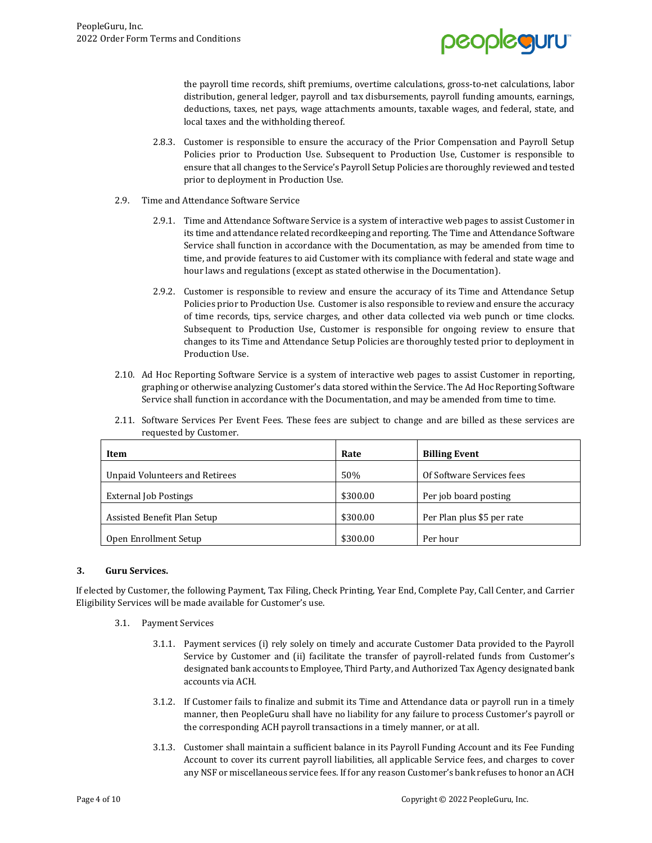

the payroll time records, shift premiums, overtime calculations, gross-to-net calculations, labor distribution, general ledger, payroll and tax disbursements, payroll funding amounts, earnings, deductions, taxes, net pays, wage attachments amounts, taxable wages, and federal, state, and local taxes and the withholding thereof.

- 2.8.3. Customer is responsible to ensure the accuracy of the Prior Compensation and Payroll Setup Policies prior to Production Use. Subsequent to Production Use, Customer is responsible to ensure that all changes to the Service's Payroll Setup Policies are thoroughly reviewed and tested prior to deployment in Production Use.
- 2.9. Time and Attendance Software Service
	- 2.9.1. Time and Attendance Software Service is a system of interactive web pages to assist Customer in its time and attendance related recordkeeping and reporting. The Time and Attendance Software Service shall function in accordance with the Documentation, as may be amended from time to time, and provide features to aid Customer with its compliance with federal and state wage and hour laws and regulations (except as stated otherwise in the Documentation).
	- 2.9.2. Customer is responsible to review and ensure the accuracy of its Time and Attendance Setup Policies prior to Production Use. Customer is also responsible to review and ensure the accuracy of time records, tips, service charges, and other data collected via web punch or time clocks. Subsequent to Production Use, Customer is responsible for ongoing review to ensure that changes to its Time and Attendance Setup Policies are thoroughly tested prior to deployment in Production Use.
- 2.10. Ad Hoc Reporting Software Service is a system of interactive web pages to assist Customer in reporting, graphing or otherwise analyzing Customer's data stored within the Service. The Ad Hoc Reporting Software Service shall function in accordance with the Documentation, and may be amended from time to time.
- 2.11. Software Services Per Event Fees. These fees are subject to change and are billed as these services are requested by Customer.

| Item                           | Rate     | <b>Billing Event</b>       |
|--------------------------------|----------|----------------------------|
| Unpaid Volunteers and Retirees | 50%      | Of Software Services fees  |
| <b>External Job Postings</b>   | \$300.00 | Per job board posting      |
| Assisted Benefit Plan Setup    | \$300.00 | Per Plan plus \$5 per rate |
| Open Enrollment Setup          | \$300.00 | Per hour                   |

# **3. Guru Services.**

If elected by Customer, the following Payment, Tax Filing, Check Printing, Year End, Complete Pay, Call Center, and Carrier Eligibility Services will be made available for Customer's use.

- 3.1. Payment Services
	- 3.1.1. Payment services (i) rely solely on timely and accurate Customer Data provided to the Payroll Service by Customer and (ii) facilitate the transfer of payroll-related funds from Customer's designated bank accounts to Employee, Third Party, and Authorized Tax Agency designated bank accounts via ACH.
	- 3.1.2. If Customer fails to finalize and submit its Time and Attendance data or payroll run in a timely manner, then PeopleGuru shall have no liability for any failure to process Customer's payroll or the corresponding ACH payroll transactions in a timely manner, or at all.
	- 3.1.3. Customer shall maintain a sufficient balance in its Payroll Funding Account and its Fee Funding Account to cover its current payroll liabilities, all applicable Service fees, and charges to cover any NSF or miscellaneous service fees. If for any reason Customer's bank refuses to honor an ACH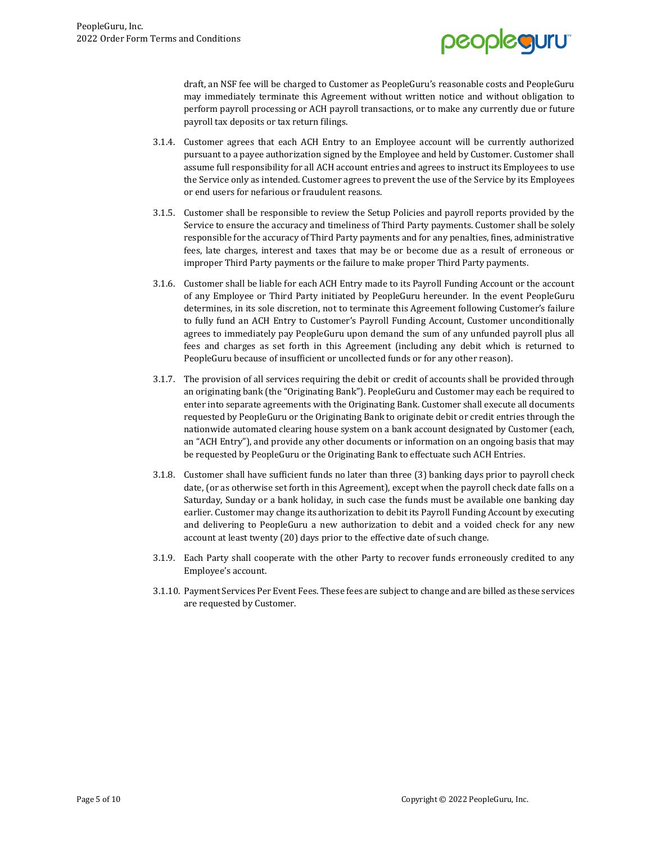

draft, an NSF fee will be charged to Customer as PeopleGuru's reasonable costs and PeopleGuru may immediately terminate this Agreement without written notice and without obligation to perform payroll processing or ACH payroll transactions, or to make any currently due or future payroll tax deposits or tax return filings.

- 3.1.4. Customer agrees that each ACH Entry to an Employee account will be currently authorized pursuant to a payee authorization signed by the Employee and held by Customer. Customer shall assume full responsibility for all ACH account entries and agrees to instruct its Employees to use the Service only as intended. Customer agrees to prevent the use of the Service by its Employees or end users for nefarious or fraudulent reasons.
- 3.1.5. Customer shall be responsible to review the Setup Policies and payroll reports provided by the Service to ensure the accuracy and timeliness of Third Party payments. Customer shall be solely responsible for the accuracy of Third Party payments and for any penalties, fines, administrative fees, late charges, interest and taxes that may be or become due as a result of erroneous or improper Third Party payments or the failure to make proper Third Party payments.
- 3.1.6. Customer shall be liable for each ACH Entry made to its Payroll Funding Account or the account of any Employee or Third Party initiated by PeopleGuru hereunder. In the event PeopleGuru determines, in its sole discretion, not to terminate this Agreement following Customer's failure to fully fund an ACH Entry to Customer's Payroll Funding Account, Customer unconditionally agrees to immediately pay PeopleGuru upon demand the sum of any unfunded payroll plus all fees and charges as set forth in this Agreement (including any debit which is returned to PeopleGuru because of insufficient or uncollected funds or for any other reason).
- 3.1.7. The provision of all services requiring the debit or credit of accounts shall be provided through an originating bank (the "Originating Bank"). PeopleGuru and Customer may each be required to enter into separate agreements with the Originating Bank. Customer shall execute all documents requested by PeopleGuru or the Originating Bank to originate debit or credit entries through the nationwide automated clearing house system on a bank account designated by Customer (each, an "ACH Entry"), and provide any other documents or information on an ongoing basis that may be requested by PeopleGuru or the Originating Bank to effectuate such ACH Entries.
- 3.1.8. Customer shall have sufficient funds no later than three (3) banking days prior to payroll check date, (or as otherwise set forth in this Agreement), except when the payroll check date falls on a Saturday, Sunday or a bank holiday, in such case the funds must be available one banking day earlier. Customer may change its authorization to debit its Payroll Funding Account by executing and delivering to PeopleGuru a new authorization to debit and a voided check for any new account at least twenty (20) days prior to the effective date of such change.
- 3.1.9. Each Party shall cooperate with the other Party to recover funds erroneously credited to any Employee's account.
- 3.1.10. Payment Services Per Event Fees. These fees are subject to change and are billed as these services are requested by Customer.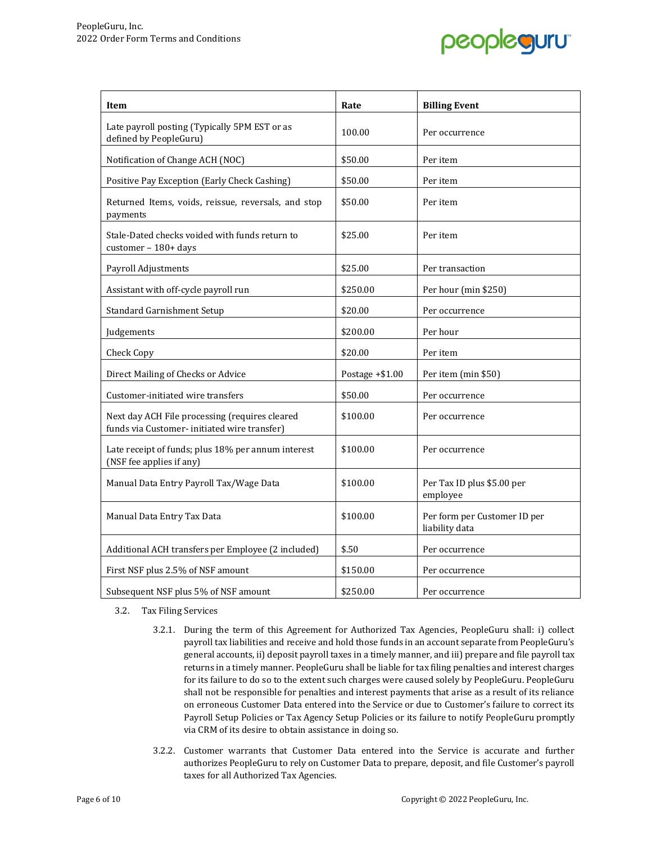

| Item                                                                                          | Rate              | <b>Billing Event</b>                           |
|-----------------------------------------------------------------------------------------------|-------------------|------------------------------------------------|
| Late payroll posting (Typically 5PM EST or as<br>defined by PeopleGuru)                       | 100.00            | Per occurrence                                 |
| Notification of Change ACH (NOC)                                                              | \$50.00           | Per item                                       |
| Positive Pay Exception (Early Check Cashing)                                                  | \$50.00           | Per item                                       |
| Returned Items, voids, reissue, reversals, and stop<br>payments                               | \$50.00           | Per item                                       |
| Stale-Dated checks voided with funds return to<br>customer - 180+ days                        | \$25.00           | Per item                                       |
| Payroll Adjustments                                                                           | \$25.00           | Per transaction                                |
| Assistant with off-cycle payroll run                                                          | \$250.00          | Per hour (min \$250)                           |
| Standard Garnishment Setup                                                                    | \$20.00           | Per occurrence                                 |
| Judgements                                                                                    | \$200.00          | Per hour                                       |
| Check Copy                                                                                    | \$20.00           | Per item                                       |
| Direct Mailing of Checks or Advice                                                            | Postage $+ $1.00$ | Per item (min \$50)                            |
| Customer-initiated wire transfers                                                             | \$50.00           | Per occurrence                                 |
| Next day ACH File processing (requires cleared<br>funds via Customer-initiated wire transfer) | \$100.00          | Per occurrence                                 |
| Late receipt of funds; plus 18% per annum interest<br>(NSF fee applies if any)                | \$100.00          | Per occurrence                                 |
| Manual Data Entry Payroll Tax/Wage Data                                                       | \$100.00          | Per Tax ID plus \$5.00 per<br>employee         |
| Manual Data Entry Tax Data                                                                    | \$100.00          | Per form per Customer ID per<br>liability data |
| Additional ACH transfers per Employee (2 included)                                            | \$.50             | Per occurrence                                 |
| First NSF plus 2.5% of NSF amount                                                             | \$150.00          | Per occurrence                                 |
| Subsequent NSF plus 5% of NSF amount                                                          | \$250.00          | Per occurrence                                 |

3.2. Tax Filing Services

- 3.2.1. During the term of this Agreement for Authorized Tax Agencies, PeopleGuru shall: i) collect payroll tax liabilities and receive and hold those funds in an account separate from PeopleGuru's general accounts, ii) deposit payroll taxes in a timely manner, and iii) prepare and file payroll tax returns in a timely manner. PeopleGuru shall be liable for tax filing penalties and interest charges for its failure to do so to the extent such charges were caused solely by PeopleGuru. PeopleGuru shall not be responsible for penalties and interest payments that arise as a result of its reliance on erroneous Customer Data entered into the Service or due to Customer's failure to correct its Payroll Setup Policies or Tax Agency Setup Policies or its failure to notify PeopleGuru promptly via CRM of its desire to obtain assistance in doing so.
- 3.2.2. Customer warrants that Customer Data entered into the Service is accurate and further authorizes PeopleGuru to rely on Customer Data to prepare, deposit, and file Customer's payroll taxes for all Authorized Tax Agencies.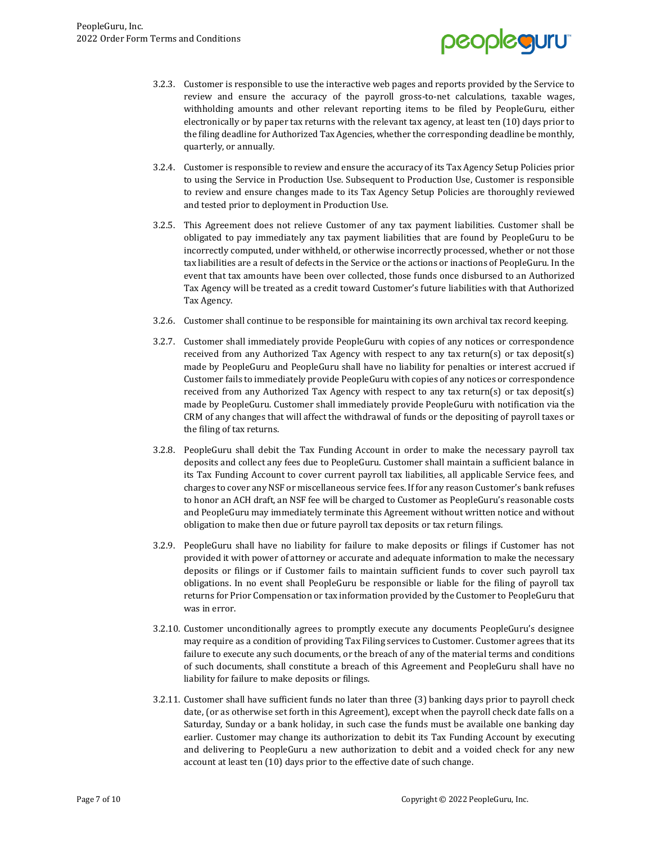

- 3.2.3. Customer is responsible to use the interactive web pages and reports provided by the Service to review and ensure the accuracy of the payroll gross-to-net calculations, taxable wages, withholding amounts and other relevant reporting items to be filed by PeopleGuru, either electronically or by paper tax returns with the relevant tax agency, at least ten (10) days prior to the filing deadline for Authorized Tax Agencies, whether the corresponding deadline be monthly, quarterly, or annually.
- 3.2.4. Customer is responsible to review and ensure the accuracy of its Tax Agency Setup Policies prior to using the Service in Production Use. Subsequent to Production Use, Customer is responsible to review and ensure changes made to its Tax Agency Setup Policies are thoroughly reviewed and tested prior to deployment in Production Use.
- 3.2.5. This Agreement does not relieve Customer of any tax payment liabilities. Customer shall be obligated to pay immediately any tax payment liabilities that are found by PeopleGuru to be incorrectly computed, under withheld, or otherwise incorrectly processed, whether or not those tax liabilities are a result of defects in the Service or the actions or inactions of PeopleGuru. In the event that tax amounts have been over collected, those funds once disbursed to an Authorized Tax Agency will be treated as a credit toward Customer's future liabilities with that Authorized Tax Agency.
- 3.2.6. Customer shall continue to be responsible for maintaining its own archival tax record keeping.
- 3.2.7. Customer shall immediately provide PeopleGuru with copies of any notices or correspondence received from any Authorized Tax Agency with respect to any tax return(s) or tax deposit(s) made by PeopleGuru and PeopleGuru shall have no liability for penalties or interest accrued if Customer fails to immediately provide PeopleGuru with copies of any notices or correspondence received from any Authorized Tax Agency with respect to any tax return(s) or tax deposit(s) made by PeopleGuru. Customer shall immediately provide PeopleGuru with notification via the CRM of any changes that will affect the withdrawal of funds or the depositing of payroll taxes or the filing of tax returns.
- 3.2.8. PeopleGuru shall debit the Tax Funding Account in order to make the necessary payroll tax deposits and collect any fees due to PeopleGuru. Customer shall maintain a sufficient balance in its Tax Funding Account to cover current payroll tax liabilities, all applicable Service fees, and charges to cover any NSF or miscellaneous service fees. If for any reason Customer's bank refuses to honor an ACH draft, an NSF fee will be charged to Customer as PeopleGuru's reasonable costs and PeopleGuru may immediately terminate this Agreement without written notice and without obligation to make then due or future payroll tax deposits or tax return filings.
- 3.2.9. PeopleGuru shall have no liability for failure to make deposits or filings if Customer has not provided it with power of attorney or accurate and adequate information to make the necessary deposits or filings or if Customer fails to maintain sufficient funds to cover such payroll tax obligations. In no event shall PeopleGuru be responsible or liable for the filing of payroll tax returns for Prior Compensation or tax information provided by the Customer to PeopleGuru that was in error.
- 3.2.10. Customer unconditionally agrees to promptly execute any documents PeopleGuru's designee may require as a condition of providing Tax Filing services to Customer. Customer agrees that its failure to execute any such documents, or the breach of any of the material terms and conditions of such documents, shall constitute a breach of this Agreement and PeopleGuru shall have no liability for failure to make deposits or filings.
- 3.2.11. Customer shall have sufficient funds no later than three (3) banking days prior to payroll check date, (or as otherwise set forth in this Agreement), except when the payroll check date falls on a Saturday, Sunday or a bank holiday, in such case the funds must be available one banking day earlier. Customer may change its authorization to debit its Tax Funding Account by executing and delivering to PeopleGuru a new authorization to debit and a voided check for any new account at least ten (10) days prior to the effective date of such change.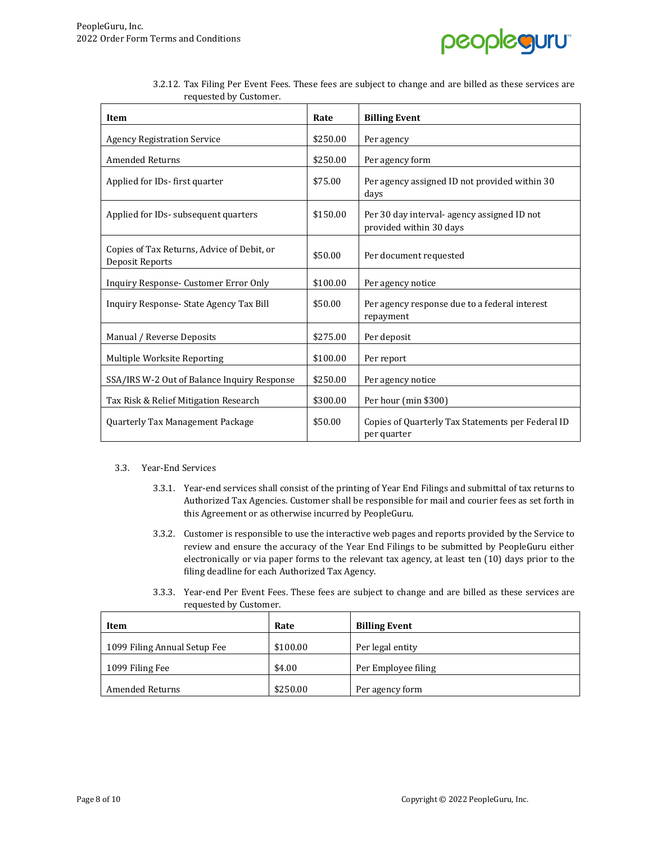

| Item                                                          | Rate     | <b>Billing Event</b>                                                   |
|---------------------------------------------------------------|----------|------------------------------------------------------------------------|
| <b>Agency Registration Service</b>                            | \$250.00 | Per agency                                                             |
| <b>Amended Returns</b>                                        | \$250.00 | Per agency form                                                        |
| Applied for IDs-first quarter                                 | \$75.00  | Per agency assigned ID not provided within 30<br>days                  |
| Applied for IDs- subsequent quarters                          | \$150.00 | Per 30 day interval- agency assigned ID not<br>provided within 30 days |
| Copies of Tax Returns, Advice of Debit, or<br>Deposit Reports | \$50.00  | Per document requested                                                 |
| Inquiry Response- Customer Error Only                         | \$100.00 | Per agency notice                                                      |
| Inquiry Response-State Agency Tax Bill                        | \$50.00  | Per agency response due to a federal interest<br>repayment             |
| Manual / Reverse Deposits                                     | \$275.00 | Per deposit                                                            |
| Multiple Worksite Reporting                                   | \$100.00 | Per report                                                             |
| SSA/IRS W-2 Out of Balance Inquiry Response                   | \$250.00 | Per agency notice                                                      |
| Tax Risk & Relief Mitigation Research                         | \$300.00 | Per hour (min \$300)                                                   |
| Quarterly Tax Management Package                              | \$50.00  | Copies of Quarterly Tax Statements per Federal ID<br>per quarter       |

3.2.12. Tax Filing Per Event Fees. These fees are subject to change and are billed as these services are requested by Customer.

### 3.3. Year-End Services

- 3.3.1. Year-end services shall consist of the printing of Year End Filings and submittal of tax returns to Authorized Tax Agencies. Customer shall be responsible for mail and courier fees as set forth in this Agreement or as otherwise incurred by PeopleGuru.
- 3.3.2. Customer is responsible to use the interactive web pages and reports provided by the Service to review and ensure the accuracy of the Year End Filings to be submitted by PeopleGuru either electronically or via paper forms to the relevant tax agency, at least ten (10) days prior to the filing deadline for each Authorized Tax Agency.
- 3.3.3. Year-end Per Event Fees. These fees are subject to change and are billed as these services are requested by Customer.

| Item                         | Rate     | <b>Billing Event</b> |
|------------------------------|----------|----------------------|
| 1099 Filing Annual Setup Fee | \$100.00 | Per legal entity     |
| 1099 Filing Fee              | \$4.00   | Per Employee filing  |
| <b>Amended Returns</b>       | \$250.00 | Per agency form      |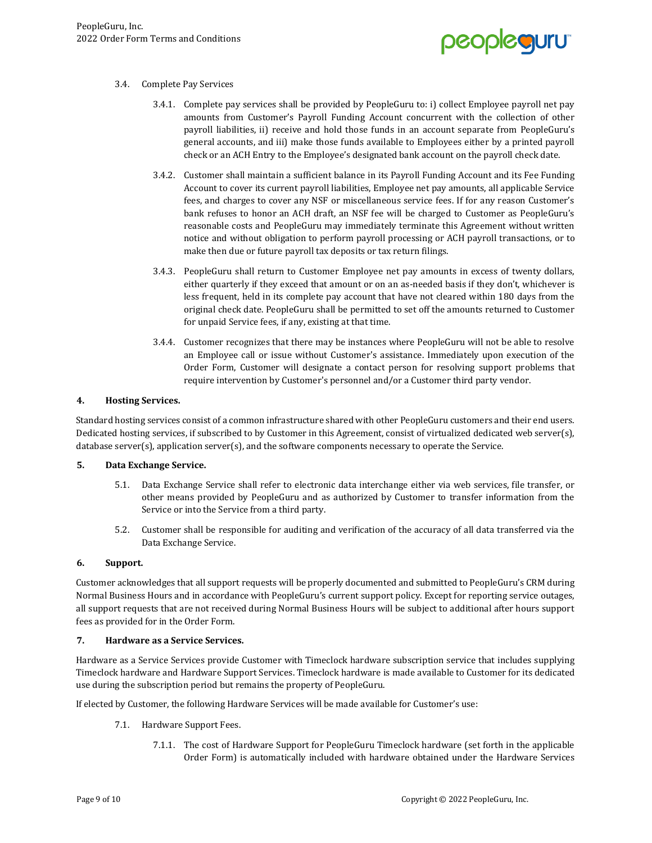

### 3.4. Complete Pay Services

- 3.4.1. Complete pay services shall be provided by PeopleGuru to: i) collect Employee payroll net pay amounts from Customer's Payroll Funding Account concurrent with the collection of other payroll liabilities, ii) receive and hold those funds in an account separate from PeopleGuru's general accounts, and iii) make those funds available to Employees either by a printed payroll check or an ACH Entry to the Employee's designated bank account on the payroll check date.
- 3.4.2. Customer shall maintain a sufficient balance in its Payroll Funding Account and its Fee Funding Account to cover its current payroll liabilities, Employee net pay amounts, all applicable Service fees, and charges to cover any NSF or miscellaneous service fees. If for any reason Customer's bank refuses to honor an ACH draft, an NSF fee will be charged to Customer as PeopleGuru's reasonable costs and PeopleGuru may immediately terminate this Agreement without written notice and without obligation to perform payroll processing or ACH payroll transactions, or to make then due or future payroll tax deposits or tax return filings.
- 3.4.3. PeopleGuru shall return to Customer Employee net pay amounts in excess of twenty dollars, either quarterly if they exceed that amount or on an as-needed basis if they don't, whichever is less frequent, held in its complete pay account that have not cleared within 180 days from the original check date. PeopleGuru shall be permitted to set off the amounts returned to Customer for unpaid Service fees, if any, existing at that time.
- 3.4.4. Customer recognizes that there may be instances where PeopleGuru will not be able to resolve an Employee call or issue without Customer's assistance. Immediately upon execution of the Order Form, Customer will designate a contact person for resolving support problems that require intervention by Customer's personnel and/or a Customer third party vendor.

### **4. Hosting Services.**

Standard hosting services consist of a common infrastructure shared with other PeopleGuru customers and their end users. Dedicated hosting services, if subscribed to by Customer in this Agreement, consist of virtualized dedicated web server(s), database server(s), application server(s), and the software components necessary to operate the Service.

### **5. Data Exchange Service.**

- 5.1. Data Exchange Service shall refer to electronic data interchange either via web services, file transfer, or other means provided by PeopleGuru and as authorized by Customer to transfer information from the Service or into the Service from a third party.
- 5.2. Customer shall be responsible for auditing and verification of the accuracy of all data transferred via the Data Exchange Service.

### **6. Support.**

Customer acknowledges that all support requests will be properly documented and submitted to PeopleGuru's CRM during Normal Business Hours and in accordance with PeopleGuru's current support policy. Except for reporting service outages, all support requests that are not received during Normal Business Hours will be subject to additional after hours support fees as provided for in the Order Form.

### **7. Hardware as a Service Services.**

Hardware as a Service Services provide Customer with Timeclock hardware subscription service that includes supplying Timeclock hardware and Hardware Support Services. Timeclock hardware is made available to Customer for its dedicated use during the subscription period but remains the property of PeopleGuru.

If elected by Customer, the following Hardware Services will be made available for Customer's use:

- 7.1. Hardware Support Fees.
	- 7.1.1. The cost of Hardware Support for PeopleGuru Timeclock hardware (set forth in the applicable Order Form) is automatically included with hardware obtained under the Hardware Services